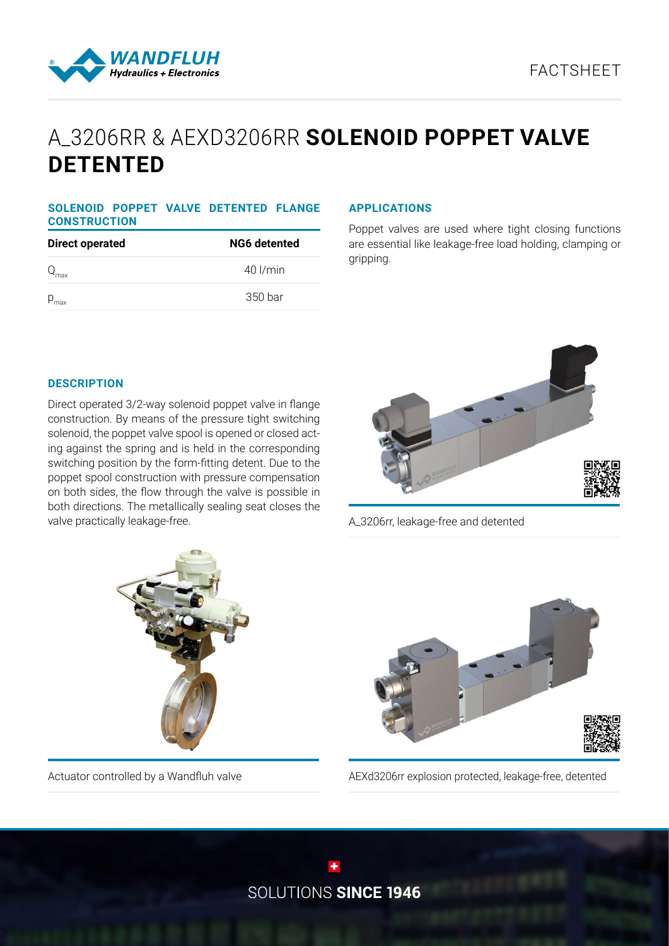

# A\_3206RR & AEXD3206RR **SOLENOID POPPET VALVE DETENTED**

# **SOLENOID POPPET VALVE DETENTED FLANGE CONSTRUCTION**

| <b>Direct operated</b> | <b>NG6 detented</b> |  |
|------------------------|---------------------|--|
| $Q_{\text{max}}$       | $40$ $\mu$ min      |  |
| $P_{\text{max}}$       | 350 bar             |  |

## **APPLICATIONS**

Poppet valves are used where tight closing functions are essential like leakage-free load holding, clamping or gripping.

# **DESCRIPTION**

Direct operated 3/2-way solenoid poppet valve in flange construction. By means of the pressure tight switching solenoid, the poppet valve spool is opened or closed acting against the spring and is held in the corresponding switching position by the form-fitting detent. Due to the poppet spool construction with pressure compensation on both sides, the flow through the valve is possible in both directions. The metallically sealing seat closes the valve practically leakage-free.



A\_3206rr, leakage-free and detented





Actuator controlled by a Wandfluh valve AEXd3206rr explosion protected, leakage-free, detented